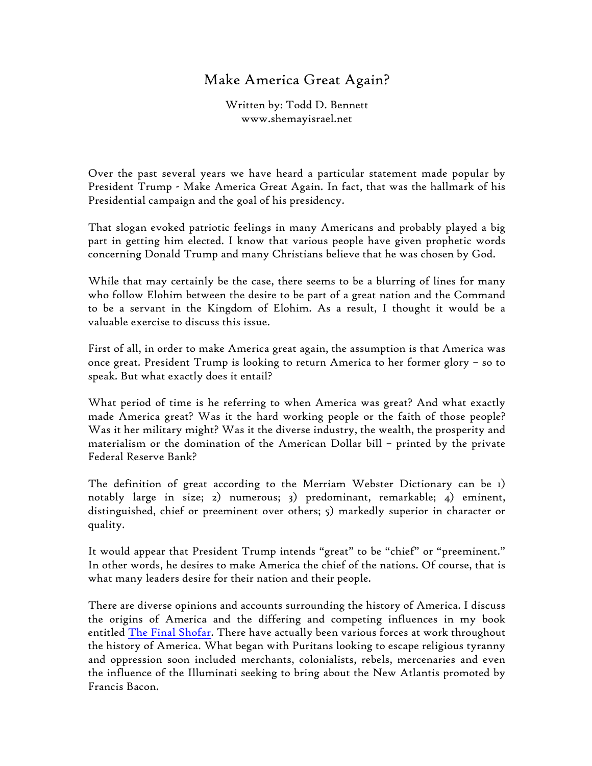## Make America Great Again?

Written by: Todd D. Bennett www.shemayisrael.net

Over the past several years we have heard a particular statement made popular by President Trump - Make America Great Again. In fact, that was the hallmark of his Presidential campaign and the goal of his presidency.

That slogan evoked patriotic feelings in many Americans and probably played a big part in getting him elected. I know that various people have given prophetic words concerning Donald Trump and many Christians believe that he was chosen by God.

While that may certainly be the case, there seems to be a blurring of lines for many who follow Elohim between the desire to be part of a great nation and the Command to be a servant in the Kingdom of Elohim. As a result, I thought it would be a valuable exercise to discuss this issue.

First of all, in order to make America great again, the assumption is that America was once great. President Trump is looking to return America to her former glory – so to speak. But what exactly does it entail?

What period of time is he referring to when America was great? And what exactly made America great? Was it the hard working people or the faith of those people? Was it her military might? Was it the diverse industry, the wealth, the prosperity and materialism or the domination of the American Dollar bill – printed by the private Federal Reserve Bank?

The definition of great according to the Merriam Webster Dictionary can be 1) notably large in size; 2) numerous; 3) predominant, remarkable; 4) eminent, distinguished, chief or preeminent over others; 5) markedly superior in character or quality.

It would appear that President Trump intends "great" to be "chief" or "preeminent." In other words, he desires to make America the chief of the nations. Of course, that is what many leaders desire for their nation and their people.

There are diverse opinions and accounts surrounding the history of America. I discuss the origins of America and the differing and competing influences in my book entitled The Final Shofar. There have actually been various forces at work throughout the history of America. What began with Puritans looking to escape religious tyranny and oppression soon included merchants, colonialists, rebels, mercenaries and even the influence of the Illuminati seeking to bring about the New Atlantis promoted by Francis Bacon.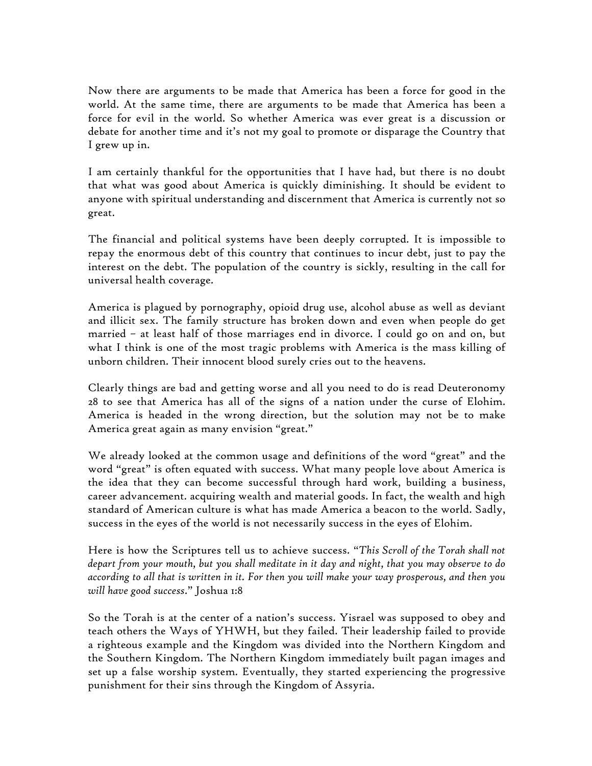Now there are arguments to be made that America has been a force for good in the world. At the same time, there are arguments to be made that America has been a force for evil in the world. So whether America was ever great is a discussion or debate for another time and it's not my goal to promote or disparage the Country that I grew up in.

I am certainly thankful for the opportunities that I have had, but there is no doubt that what was good about America is quickly diminishing. It should be evident to anyone with spiritual understanding and discernment that America is currently not so great.

The financial and political systems have been deeply corrupted. It is impossible to repay the enormous debt of this country that continues to incur debt, just to pay the interest on the debt. The population of the country is sickly, resulting in the call for universal health coverage.

America is plagued by pornography, opioid drug use, alcohol abuse as well as deviant and illicit sex. The family structure has broken down and even when people do get married – at least half of those marriages end in divorce. I could go on and on, but what I think is one of the most tragic problems with America is the mass killing of unborn children. Their innocent blood surely cries out to the heavens.

Clearly things are bad and getting worse and all you need to do is read Deuteronomy 28 to see that America has all of the signs of a nation under the curse of Elohim. America is headed in the wrong direction, but the solution may not be to make America great again as many envision "great."

We already looked at the common usage and definitions of the word "great" and the word "great" is often equated with success. What many people love about America is the idea that they can become successful through hard work, building a business, career advancement. acquiring wealth and material goods. In fact, the wealth and high standard of American culture is what has made America a beacon to the world. Sadly, success in the eyes of the world is not necessarily success in the eyes of Elohim.

Here is how the Scriptures tell us to achieve success. "*This Scroll of the Torah shall not depart from your mouth, but you shall meditate in it day and night, that you may observe to do according to all that is written in it. For then you will make your way prosperous, and then you will have good success*." Joshua 1:8

So the Torah is at the center of a nation's success. Yisrael was supposed to obey and teach others the Ways of YHWH, but they failed. Their leadership failed to provide a righteous example and the Kingdom was divided into the Northern Kingdom and the Southern Kingdom. The Northern Kingdom immediately built pagan images and set up a false worship system. Eventually, they started experiencing the progressive punishment for their sins through the Kingdom of Assyria.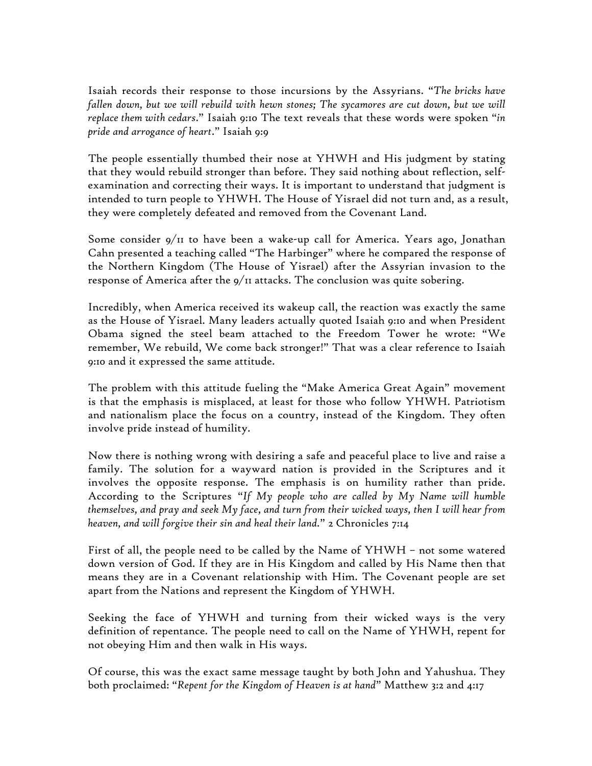Isaiah records their response to those incursions by the Assyrians. "*The bricks have*  fallen down, but we will rebuild with hewn stones; The sycamores are cut down, but we will *replace them with cedars*." Isaiah 9:10 The text reveals that these words were spoken "*in pride and arrogance of heart*." Isaiah 9:9

The people essentially thumbed their nose at YHWH and His judgment by stating that they would rebuild stronger than before. They said nothing about reflection, selfexamination and correcting their ways. It is important to understand that judgment is intended to turn people to YHWH. The House of Yisrael did not turn and, as a result, they were completely defeated and removed from the Covenant Land.

Some consider 9/11 to have been a wake-up call for America. Years ago, Jonathan Cahn presented a teaching called "The Harbinger" where he compared the response of the Northern Kingdom (The House of Yisrael) after the Assyrian invasion to the response of America after the  $9/11$  attacks. The conclusion was quite sobering.

Incredibly, when America received its wakeup call, the reaction was exactly the same as the House of Yisrael. Many leaders actually quoted Isaiah 9:10 and when President Obama signed the steel beam attached to the Freedom Tower he wrote: "We remember, We rebuild, We come back stronger!" That was a clear reference to Isaiah 9:10 and it expressed the same attitude.

The problem with this attitude fueling the "Make America Great Again" movement is that the emphasis is misplaced, at least for those who follow YHWH. Patriotism and nationalism place the focus on a country, instead of the Kingdom. They often involve pride instead of humility.

Now there is nothing wrong with desiring a safe and peaceful place to live and raise a family. The solution for a wayward nation is provided in the Scriptures and it involves the opposite response. The emphasis is on humility rather than pride. According to the Scriptures "*If My people who are called by My Name will humble themselves, and pray and seek My face, and turn from their wicked ways, then I will hear from heaven, and will forgive their sin and heal their land.*" 2 Chronicles 7:14

First of all, the people need to be called by the Name of YHWH – not some watered down version of God. If they are in His Kingdom and called by His Name then that means they are in a Covenant relationship with Him. The Covenant people are set apart from the Nations and represent the Kingdom of YHWH.

Seeking the face of YHWH and turning from their wicked ways is the very definition of repentance. The people need to call on the Name of YHWH, repent for not obeying Him and then walk in His ways.

Of course, this was the exact same message taught by both John and Yahushua. They both proclaimed: "*Repent for the Kingdom of Heaven is at hand*" Matthew 3:2 and 4:17